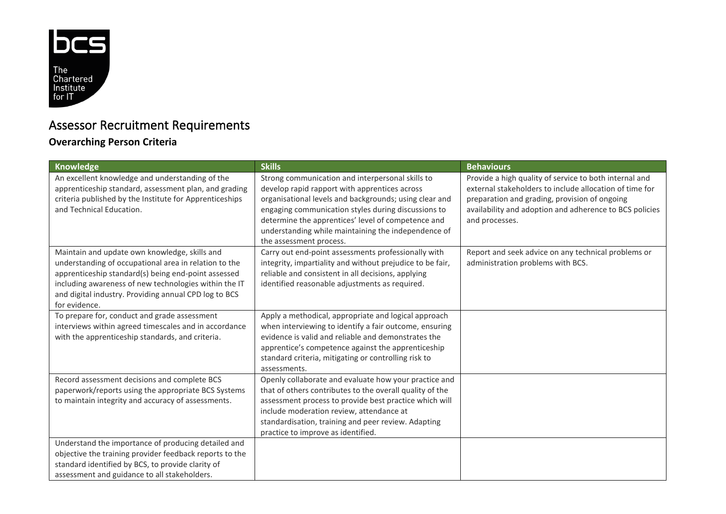

## Assessor Recruitment Requirements

## **Overarching Person Criteria**

| Knowledge                                                                                                                                                                                                                                                                                        | <b>Skills</b>                                                                                                                                                                                                                                                                                                                                              | <b>Behaviours</b>                                                                                                                                                                                                                               |
|--------------------------------------------------------------------------------------------------------------------------------------------------------------------------------------------------------------------------------------------------------------------------------------------------|------------------------------------------------------------------------------------------------------------------------------------------------------------------------------------------------------------------------------------------------------------------------------------------------------------------------------------------------------------|-------------------------------------------------------------------------------------------------------------------------------------------------------------------------------------------------------------------------------------------------|
| An excellent knowledge and understanding of the<br>apprenticeship standard, assessment plan, and grading<br>criteria published by the Institute for Apprenticeships<br>and Technical Education.                                                                                                  | Strong communication and interpersonal skills to<br>develop rapid rapport with apprentices across<br>organisational levels and backgrounds; using clear and<br>engaging communication styles during discussions to<br>determine the apprentices' level of competence and<br>understanding while maintaining the independence of<br>the assessment process. | Provide a high quality of service to both internal and<br>external stakeholders to include allocation of time for<br>preparation and grading, provision of ongoing<br>availability and adoption and adherence to BCS policies<br>and processes. |
| Maintain and update own knowledge, skills and<br>understanding of occupational area in relation to the<br>apprenticeship standard(s) being end-point assessed<br>including awareness of new technologies within the IT<br>and digital industry. Providing annual CPD log to BCS<br>for evidence. | Carry out end-point assessments professionally with<br>integrity, impartiality and without prejudice to be fair,<br>reliable and consistent in all decisions, applying<br>identified reasonable adjustments as required.                                                                                                                                   | Report and seek advice on any technical problems or<br>administration problems with BCS.                                                                                                                                                        |
| To prepare for, conduct and grade assessment<br>interviews within agreed timescales and in accordance<br>with the apprenticeship standards, and criteria.                                                                                                                                        | Apply a methodical, appropriate and logical approach<br>when interviewing to identify a fair outcome, ensuring<br>evidence is valid and reliable and demonstrates the<br>apprentice's competence against the apprenticeship<br>standard criteria, mitigating or controlling risk to<br>assessments.                                                        |                                                                                                                                                                                                                                                 |
| Record assessment decisions and complete BCS<br>paperwork/reports using the appropriate BCS Systems<br>to maintain integrity and accuracy of assessments.                                                                                                                                        | Openly collaborate and evaluate how your practice and<br>that of others contributes to the overall quality of the<br>assessment process to provide best practice which will<br>include moderation review, attendance at<br>standardisation, training and peer review. Adapting<br>practice to improve as identified.                                       |                                                                                                                                                                                                                                                 |
| Understand the importance of producing detailed and<br>objective the training provider feedback reports to the<br>standard identified by BCS, to provide clarity of<br>assessment and guidance to all stakeholders.                                                                              |                                                                                                                                                                                                                                                                                                                                                            |                                                                                                                                                                                                                                                 |